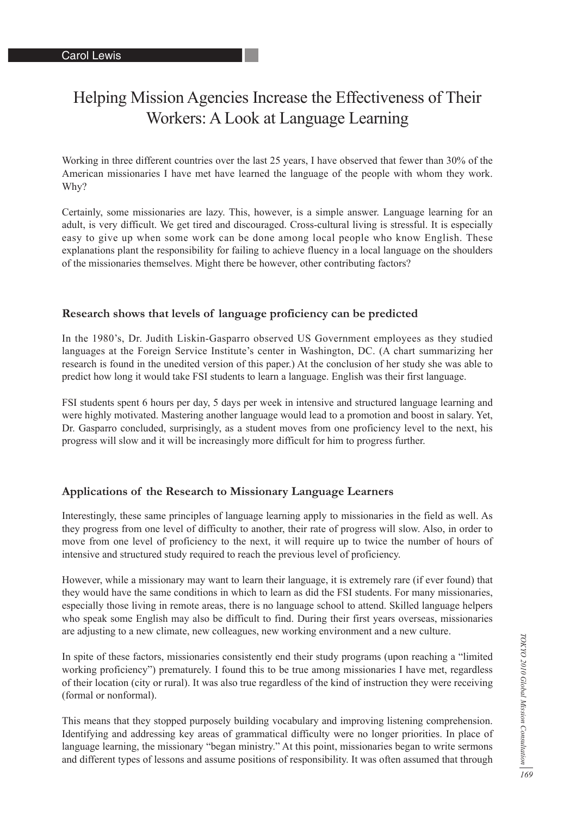# Helping Mission Agencies Increase the Effectiveness of Their Workers: A Look at Language Learning

Working in three different countries over the last 25 years, I have observed that fewer than 30% of the American missionaries I have met have learned the language of the people with whom they work. Why?

Certainly, some missionaries are lazy. This, however, is a simple answer. Language learning for an adult, is very difficult. We get tired and discouraged. Cross-cultural living is stressful. It is especially easy to give up when some work can be done among local people who know English. These explanations plant the responsibility for failing to achieve fluency in a local language on the shoulders of the missionaries themselves. Might there be however, other contributing factors?

#### **Research shows that levels of language proficiency can be predicted**

In the 1980's, Dr. Judith Liskin-Gasparro observed US Government employees as they studied languages at the Foreign Service Institute's center in Washington, DC. (A chart summarizing her research is found in the unedited version of this paper.) At the conclusion of her study she was able to predict how long it would take FSI students to learn a language. English was their first language.

FSI students spent 6 hours per day, 5 days per week in intensive and structured language learning and were highly motivated. Mastering another language would lead to a promotion and boost in salary. Yet, Dr. Gasparro concluded, surprisingly, as a student moves from one proficiency level to the next, his progress will slow and it will be increasingly more difficult for him to progress further.

#### **Applications of the Research to Missionary Language Learners**

Interestingly, these same principles of language learning apply to missionaries in the field as well. As they progress from one level of difficulty to another, their rate of progress will slow. Also, in order to move from one level of proficiency to the next, it will require up to twice the number of hours of intensive and structured study required to reach the previous level of proficiency.

However, while a missionary may want to learn their language, it is extremely rare (if ever found) that they would have the same conditions in which to learn as did the FSI students. For many missionaries, especially those living in remote areas, there is no language school to attend. Skilled language helpers who speak some English may also be difficult to find. During their first years overseas, missionaries are adjusting to a new climate, new colleagues, new working environment and a new culture.

In spite of these factors, missionaries consistently end their study programs (upon reaching a "limited working proficiency") prematurely. I found this to be true among missionaries I have met, regardless of their location (city or rural). It was also true regardless of the kind of instruction they were receiving (formal or nonformal).

This means that they stopped purposely building vocabulary and improving listening comprehension. Identifying and addressing key areas of grammatical difficulty were no longer priorities. In place of language learning, the missionary "began ministry." At this point, missionaries began to write sermons and different types of lessons and assume positions of responsibility. It was often assumed that through